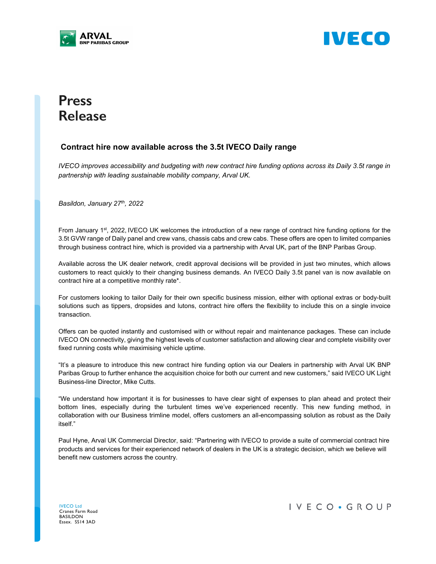



## **Press Release**

## **Contract hire now available across the 3.5t IVECO Daily range**

*IVECO improves accessibility and budgeting with new contract hire funding options across its Daily 3.5t range in partnership with leading sustainable mobility company, Arval UK.*

*Basildon, January 27th, 2022* 

From January 1st, 2022, IVECO UK welcomes the introduction of a new range of contract hire funding options for the 3.5t GVW range of Daily panel and crew vans, chassis cabs and crew cabs. These offers are open to limited companies through business contract hire, which is provided via a partnership with Arval UK, part of the BNP Paribas Group.

Available across the UK dealer network, credit approval decisions will be provided in just two minutes, which allows customers to react quickly to their changing business demands. An IVECO Daily 3.5t panel van is now available on contract hire at a competitive monthly rate\*.

For customers looking to tailor Daily for their own specific business mission, either with optional extras or body-built solutions such as tippers, dropsides and lutons, contract hire offers the flexibility to include this on a single invoice transaction.

Offers can be quoted instantly and customised with or without repair and maintenance packages. These can include IVECO ON connectivity, giving the highest levels of customer satisfaction and allowing clear and complete visibility over fixed running costs while maximising vehicle uptime.

"It's a pleasure to introduce this new contract hire funding option via our Dealers in partnership with Arval UK BNP Paribas Group to further enhance the acquisition choice for both our current and new customers," said IVECO UK Light Business-line Director, Mike Cutts.

"We understand how important it is for businesses to have clear sight of expenses to plan ahead and protect their bottom lines, especially during the turbulent times we've experienced recently. This new funding method, in collaboration with our Business trimline model, offers customers an all-encompassing solution as robust as the Daily itself."

Paul Hyne, Arval UK Commercial Director, said: "Partnering with IVECO to provide a suite of commercial contract hire products and services for their experienced network of dealers in the UK is a strategic decision, which we believe will benefit new customers across the country.

IVECO Ltd Cranes Farm Road BASILDON Essex. SS14 3AD

IVECO · GROUP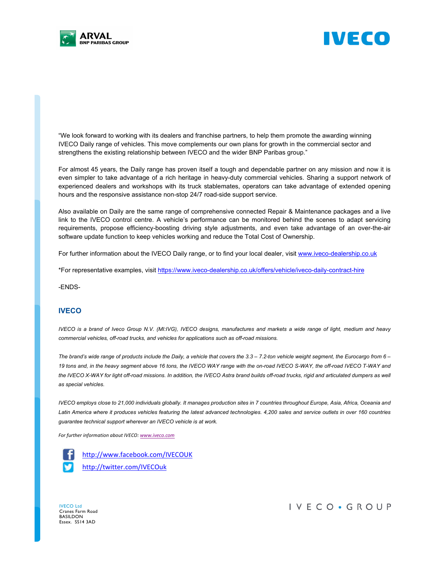



"We look forward to working with its dealers and franchise partners, to help them promote the awarding winning IVECO Daily range of vehicles. This move complements our own plans for growth in the commercial sector and strengthens the existing relationship between IVECO and the wider BNP Paribas group."

For almost 45 years, the Daily range has proven itself a tough and dependable partner on any mission and now it is even simpler to take advantage of a rich heritage in heavy-duty commercial vehicles. Sharing a support network of experienced dealers and workshops with its truck stablemates, operators can take advantage of extended opening hours and the responsive assistance non-stop 24/7 road-side support service.

Also available on Daily are the same range of comprehensive connected Repair & Maintenance packages and a live link to the IVECO control centre. A vehicle's performance can be monitored behind the scenes to adapt servicing requirements, propose efficiency-boosting driving style adjustments, and even take advantage of an over-the-air software update function to keep vehicles working and reduce the Total Cost of Ownership.

For further information about the IVECO Daily range, or to find your local dealer, visit www.iveco-dealership.co.uk

\*For representative examples, visit https://www.iveco-dealership.co.uk/offers/vehicle/iveco-daily-contract-hire

-ENDS-

## **IVECO**

*IVECO is a brand of Iveco Group N.V. (MI:IVG), IVECO designs, manufactures and markets a wide range of light, medium and heavy commercial vehicles, off-road trucks, and vehicles for applications such as off-road missions.* 

*The brand's wide range of products include the Daily, a vehicle that covers the 3.3 – 7.2-ton vehicle weight segment, the Eurocargo from 6 – 19 tons and, in the heavy segment above 16 tons, the IVECO WAY range with the on-road IVECO S-WAY, the off-road IVECO T-WAY and* the IVECO X-WAY for light off-road missions. In addition, the IVECO Astra brand builds off-road trucks, rigid and articulated dumpers as well *as special vehicles.* 

*IVECO employs close to 21,000 individuals globally. It manages production sites in 7 countries throughout Europe, Asia, Africa, Oceania and*  Latin America where it produces vehicles featuring the latest advanced technologies. 4,200 sales and service outlets in over 160 countries *guarantee technical support wherever an IVECO vehicle is at work.* 

*For further information about IVECO: www.iveco.com*



http://www.facebook.com/IVECOUK http://twitter.com/IVECOuk

IVECO Ltd Cranes Farm Road BASILDON Essex. SS14 3AD

IVECO · GROUP